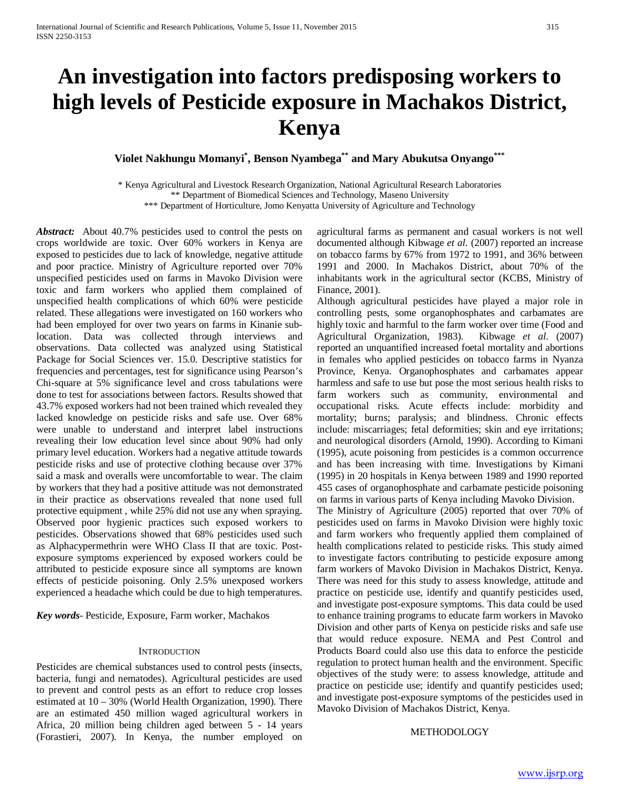# **An investigation into factors predisposing workers to high levels of Pesticide exposure in Machakos District, Kenya**

**Violet Nakhungu Momanyi\* , Benson Nyambega\*\* and Mary Abukutsa Onyango\*\*\***

\* Kenya Agricultural and Livestock Research Organization, National Agricultural Research Laboratories \*\* Department of Biomedical Sciences and Technology, Maseno University \*\*\* Department of Horticulture, Jomo Kenyatta University of Agriculture and Technology

*Abstract:* About 40.7% pesticides used to control the pests on crops worldwide are toxic. Over 60% workers in Kenya are exposed to pesticides due to lack of knowledge, negative attitude and poor practice. Ministry of Agriculture reported over 70% unspecified pesticides used on farms in Mavoko Division were toxic and farm workers who applied them complained of unspecified health complications of which 60% were pesticide related. These allegations were investigated on 160 workers who had been employed for over two years on farms in Kinanie sublocation. Data was collected through interviews and observations. Data collected was analyzed using Statistical Package for Social Sciences ver. 15.0. Descriptive statistics for frequencies and percentages, test for significance using Pearson's Chi-square at 5% significance level and cross tabulations were done to test for associations between factors. Results showed that 43.7% exposed workers had not been trained which revealed they lacked knowledge on pesticide risks and safe use. Over 68% were unable to understand and interpret label instructions revealing their low education level since about 90% had only primary level education. Workers had a negative attitude towards pesticide risks and use of protective clothing because over 37% said a mask and overalls were uncomfortable to wear. The claim by workers that they had a positive attitude was not demonstrated in their practice as observations revealed that none used full protective equipment , while 25% did not use any when spraying. Observed poor hygienic practices such exposed workers to pesticides. Observations showed that 68% pesticides used such as Alphacypermethrin were WHO Class II that are toxic. Postexposure symptoms experienced by exposed workers could be attributed to pesticide exposure since all symptoms are known effects of pesticide poisoning. Only 2.5% unexposed workers experienced a headache which could be due to high temperatures.

*Key words*- Pesticide, Exposure, Farm worker, Machakos

#### **INTRODUCTION**

Pesticides are chemical substances used to control pests (insects, bacteria, fungi and nematodes). Agricultural pesticides are used to prevent and control pests as an effort to reduce crop losses estimated at 10 – 30% (World Health Organization, 1990). There are an estimated 450 million waged agricultural workers in Africa, 20 million being children aged between 5 - 14 years (Forastieri, 2007). In Kenya, the number employed on agricultural farms as permanent and casual workers is not well documented although Kibwage *et al.* (2007) reported an increase on tobacco farms by 67% from 1972 to 1991, and 36% between 1991 and 2000. In Machakos District, about 70% of the inhabitants work in the agricultural sector (KCBS, Ministry of Finance, 2001).

Although agricultural pesticides have played a major role in controlling pests, some organophosphates and carbamates are highly toxic and harmful to the farm worker over time (Food and Agricultural Organization, 1983). Kibwage *et al*. (2007) reported an unquantified increased foetal mortality and abortions in females who applied pesticides on tobacco farms in Nyanza Province, Kenya. Organophosphates and carbamates appear harmless and safe to use but pose the most serious health risks to farm workers such as community, environmental and occupational risks. Acute effects include: morbidity and mortality; burns; paralysis; and blindness. Chronic effects include: miscarriages; fetal deformities; skin and eye irritations; and neurological disorders (Arnold, 1990). According to Kimani (1995), acute poisoning from pesticides is a common occurrence and has been increasing with time. Investigations by Kimani (1995) in 20 hospitals in Kenya between 1989 and 1990 reported 455 cases of organophosphate and carbamate pesticide poisoning on farms in various parts of Kenya including Mavoko Division.

The Ministry of Agriculture (2005) reported that over 70% of pesticides used on farms in Mavoko Division were highly toxic and farm workers who frequently applied them complained of health complications related to pesticide risks. This study aimed to investigate factors contributing to pesticide exposure among farm workers of Mavoko Division in Machakos District, Kenya. There was need for this study to assess knowledge, attitude and practice on pesticide use, identify and quantify pesticides used, and investigate post-exposure symptoms. This data could be used to enhance training programs to educate farm workers in Mavoko Division and other parts of Kenya on pesticide risks and safe use that would reduce exposure. NEMA and Pest Control and Products Board could also use this data to enforce the pesticide regulation to protect human health and the environment. Specific objectives of the study were: to assess knowledge, attitude and practice on pesticide use; identify and quantify pesticides used; and investigate post-exposure symptoms of the pesticides used in Mavoko Division of Machakos District, Kenya.

#### **METHODOLOGY**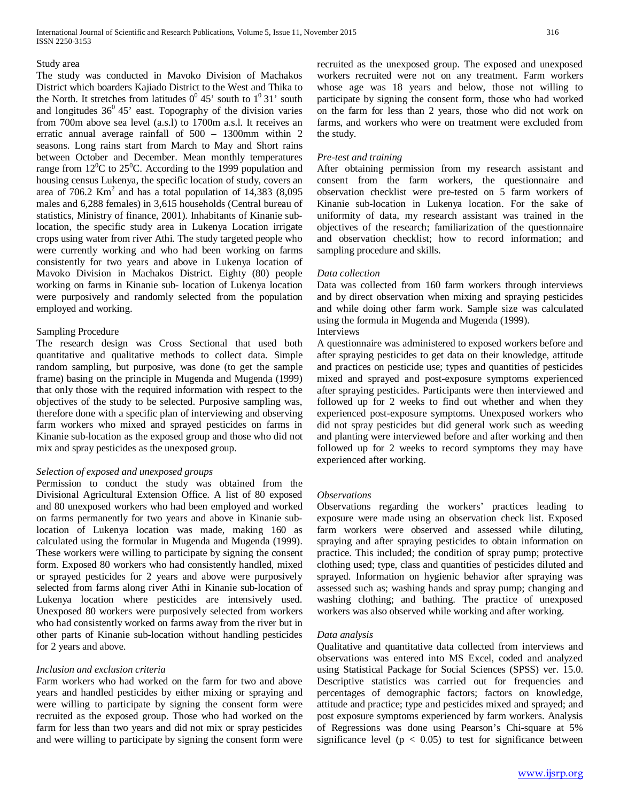#### Study area

The study was conducted in Mavoko Division of Machakos District which boarders Kajiado District to the West and Thika to the North. It stretches from latitudes  $0^0$  45' south to  $1^0$  31' south and longitudes  $36^{\circ}$  45' east. Topography of the division varies from 700m above sea level (a.s.l) to 1700m a.s.l. It receives an erratic annual average rainfall of 500 – 1300mm within 2 seasons. Long rains start from March to May and Short rains between October and December. Mean monthly temperatures range from  $12^{\circ}$ C to  $25^{\circ}$ C. According to the 1999 population and housing census Lukenya, the specific location of study, covers an area of  $706.2 \text{ Km}^2$  and has a total population of  $14,383$  (8,095) males and 6,288 females) in 3,615 households (Central bureau of statistics, Ministry of finance, 2001). Inhabitants of Kinanie sublocation, the specific study area in Lukenya Location irrigate crops using water from river Athi. The study targeted people who were currently working and who had been working on farms consistently for two years and above in Lukenya location of Mavoko Division in Machakos District. Eighty (80) people working on farms in Kinanie sub- location of Lukenya location were purposively and randomly selected from the population employed and working.

## Sampling Procedure

The research design was Cross Sectional that used both quantitative and qualitative methods to collect data. Simple random sampling, but purposive, was done (to get the sample frame) basing on the principle in Mugenda and Mugenda (1999) that only those with the required information with respect to the objectives of the study to be selected. Purposive sampling was, therefore done with a specific plan of interviewing and observing farm workers who mixed and sprayed pesticides on farms in Kinanie sub-location as the exposed group and those who did not mix and spray pesticides as the unexposed group.

## *Selection of exposed and unexposed groups*

Permission to conduct the study was obtained from the Divisional Agricultural Extension Office. A list of 80 exposed and 80 unexposed workers who had been employed and worked on farms permanently for two years and above in Kinanie sublocation of Lukenya location was made, making 160 as calculated using the formular in Mugenda and Mugenda (1999). These workers were willing to participate by signing the consent form. Exposed 80 workers who had consistently handled, mixed or sprayed pesticides for 2 years and above were purposively selected from farms along river Athi in Kinanie sub-location of Lukenya location where pesticides are intensively used. Unexposed 80 workers were purposively selected from workers who had consistently worked on farms away from the river but in other parts of Kinanie sub-location without handling pesticides for 2 years and above.

## *Inclusion and exclusion criteria*

Farm workers who had worked on the farm for two and above years and handled pesticides by either mixing or spraying and were willing to participate by signing the consent form were recruited as the exposed group. Those who had worked on the farm for less than two years and did not mix or spray pesticides and were willing to participate by signing the consent form were recruited as the unexposed group. The exposed and unexposed workers recruited were not on any treatment. Farm workers whose age was 18 years and below, those not willing to participate by signing the consent form, those who had worked on the farm for less than 2 years, those who did not work on farms, and workers who were on treatment were excluded from the study.

## *Pre-test and training*

After obtaining permission from my research assistant and consent from the farm workers, the questionnaire and observation checklist were pre-tested on 5 farm workers of Kinanie sub-location in Lukenya location. For the sake of uniformity of data, my research assistant was trained in the objectives of the research; familiarization of the questionnaire and observation checklist; how to record information; and sampling procedure and skills.

# *Data collection*

Data was collected from 160 farm workers through interviews and by direct observation when mixing and spraying pesticides and while doing other farm work. Sample size was calculated using the formula in Mugenda and Mugenda (1999).

# Interviews

A questionnaire was administered to exposed workers before and after spraying pesticides to get data on their knowledge, attitude and practices on pesticide use; types and quantities of pesticides mixed and sprayed and post-exposure symptoms experienced after spraying pesticides. Participants were then interviewed and followed up for 2 weeks to find out whether and when they experienced post-exposure symptoms. Unexposed workers who did not spray pesticides but did general work such as weeding and planting were interviewed before and after working and then followed up for 2 weeks to record symptoms they may have experienced after working.

## *Observations*

Observations regarding the workers' practices leading to exposure were made using an observation check list. Exposed farm workers were observed and assessed while diluting, spraying and after spraying pesticides to obtain information on practice. This included; the condition of spray pump; protective clothing used; type, class and quantities of pesticides diluted and sprayed. Information on hygienic behavior after spraying was assessed such as; washing hands and spray pump; changing and washing clothing; and bathing. The practice of unexposed workers was also observed while working and after working.

## *Data analysis*

Qualitative and quantitative data collected from interviews and observations was entered into MS Excel, coded and analyzed using Statistical Package for Social Sciences (SPSS) ver. 15.0. Descriptive statistics was carried out for frequencies and percentages of demographic factors; factors on knowledge, attitude and practice; type and pesticides mixed and sprayed; and post exposure symptoms experienced by farm workers. Analysis of Regressions was done using Pearson's Chi-square at 5% significance level ( $p < 0.05$ ) to test for significance between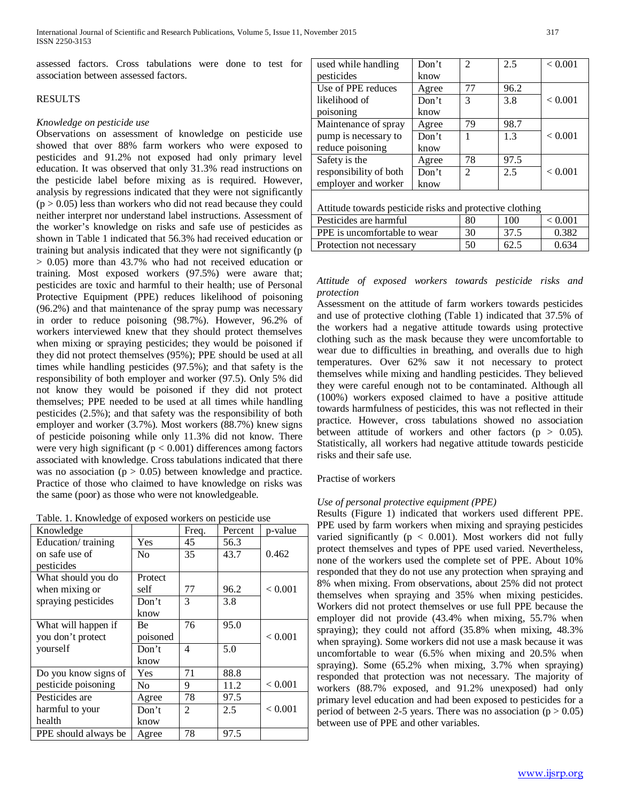assessed factors. Cross tabulations were done to test for association between assessed factors.

## RESULTS

## *Knowledge on pesticide use*

Observations on assessment of knowledge on pesticide use showed that over 88% farm workers who were exposed to pesticides and 91.2% not exposed had only primary level education. It was observed that only 31.3% read instructions on the pesticide label before mixing as is required. However, analysis by regressions indicated that they were not significantly  $(p > 0.05)$  less than workers who did not read because they could neither interpret nor understand label instructions. Assessment of the worker's knowledge on risks and safe use of pesticides as shown in Table 1 indicated that 56.3% had received education or training but analysis indicated that they were not significantly (p > 0.05) more than 43.7% who had not received education or training. Most exposed workers (97.5%) were aware that; pesticides are toxic and harmful to their health; use of Personal Protective Equipment (PPE) reduces likelihood of poisoning (96.2%) and that maintenance of the spray pump was necessary in order to reduce poisoning (98.7%). However, 96.2% of workers interviewed knew that they should protect themselves when mixing or spraying pesticides; they would be poisoned if they did not protect themselves (95%); PPE should be used at all times while handling pesticides (97.5%); and that safety is the responsibility of both employer and worker (97.5). Only 5% did not know they would be poisoned if they did not protect themselves; PPE needed to be used at all times while handling pesticides (2.5%); and that safety was the responsibility of both employer and worker (3.7%). Most workers (88.7%) knew signs of pesticide poisoning while only 11.3% did not know. There were very high significant ( $p < 0.001$ ) differences among factors associated with knowledge. Cross tabulations indicated that there was no association ( $p > 0.05$ ) between knowledge and practice. Practice of those who claimed to have knowledge on risks was the same (poor) as those who were not knowledgeable.

|  |  |  | Table. 1. Knowledge of exposed workers on pesticide use |
|--|--|--|---------------------------------------------------------|
|  |  |  |                                                         |

| Knowledge            |                | Freq.          | Percent | p-value |
|----------------------|----------------|----------------|---------|---------|
| Education/training   | Yes            | 45             | 56.3    |         |
| on safe use of       | N <sub>0</sub> | 35             | 43.7    | 0.462   |
| pesticides           |                |                |         |         |
| What should you do   | Protect        |                |         |         |
| when mixing or       | self           | 77             | 96.2    | < 0.001 |
| spraying pesticides  | Don't          | 3              | 3.8     |         |
|                      | know           |                |         |         |
| What will happen if  | Вe             | 76             | 95.0    |         |
| you don't protect    | poisoned       |                |         | < 0.001 |
| yourself             | Don't          | 4              | 5.0     |         |
|                      | know           |                |         |         |
| Do you know signs of | <b>Yes</b>     | 71             | 88.8    |         |
| pesticide poisoning  | N <sub>0</sub> | 9              | 11.2    | < 0.001 |
| Pesticides are       | Agree          | 78             | 97.5    |         |
| harmful to your      | Don't          | $\mathfrak{D}$ | 2.5     | < 0.001 |
| health               | know           |                |         |         |
| PPE should always be | Agree          | 78             | 97.5    |         |

| used while handling                                      | Don't | $\mathfrak{D}$ | 2.5  | < 0.001 |  |  |  |  |
|----------------------------------------------------------|-------|----------------|------|---------|--|--|--|--|
| pesticides                                               | know  |                |      |         |  |  |  |  |
| Use of PPE reduces                                       | Agree | 77             | 96.2 |         |  |  |  |  |
| likelihood of                                            | Don't | 3              | 3.8  | < 0.001 |  |  |  |  |
| poisoning                                                | know  |                |      |         |  |  |  |  |
| Maintenance of spray                                     | Agree | 79             | 98.7 |         |  |  |  |  |
| pump is necessary to                                     | Don't | 1              | 1.3  | < 0.001 |  |  |  |  |
| reduce poisoning                                         | know  |                |      |         |  |  |  |  |
| Safety is the                                            | Agree | 78             | 97.5 |         |  |  |  |  |
| responsibility of both                                   | Don't | $\mathfrak{D}$ | 2.5  | < 0.001 |  |  |  |  |
| employer and worker                                      | know  |                |      |         |  |  |  |  |
|                                                          |       |                |      |         |  |  |  |  |
| Attitude towards pesticide risks and protective clothing |       |                |      |         |  |  |  |  |
| Pesticides are harmful                                   |       | 80             | 100  | < 0.001 |  |  |  |  |
| PPE is uncomfortable to wear                             |       | 30             | 37.5 | 0.382   |  |  |  |  |
| Protection not necessary                                 |       | 50             | 62.5 | 0.634   |  |  |  |  |

# *Attitude of exposed workers towards pesticide risks and protection*

Assessment on the attitude of farm workers towards pesticides and use of protective clothing (Table 1) indicated that 37.5% of the workers had a negative attitude towards using protective clothing such as the mask because they were uncomfortable to wear due to difficulties in breathing, and overalls due to high temperatures. Over 62% saw it not necessary to protect themselves while mixing and handling pesticides. They believed they were careful enough not to be contaminated. Although all (100%) workers exposed claimed to have a positive attitude towards harmfulness of pesticides, this was not reflected in their practice. However, cross tabulations showed no association between attitude of workers and other factors ( $p > 0.05$ ). Statistically, all workers had negative attitude towards pesticide risks and their safe use.

## Practise of workers

# *Use of personal protective equipment (PPE)*

Results (Figure 1) indicated that workers used different PPE. PPE used by farm workers when mixing and spraying pesticides varied significantly ( $p < 0.001$ ). Most workers did not fully protect themselves and types of PPE used varied. Nevertheless, none of the workers used the complete set of PPE. About 10% responded that they do not use any protection when spraying and 8% when mixing. From observations, about 25% did not protect themselves when spraying and 35% when mixing pesticides. Workers did not protect themselves or use full PPE because the employer did not provide (43.4% when mixing, 55.7% when spraying); they could not afford (35.8% when mixing, 48.3% when spraying). Some workers did not use a mask because it was uncomfortable to wear (6.5% when mixing and 20.5% when spraying). Some (65.2% when mixing, 3.7% when spraying) responded that protection was not necessary. The majority of workers (88.7% exposed, and 91.2% unexposed) had only primary level education and had been exposed to pesticides for a period of between 2-5 years. There was no association  $(p > 0.05)$ between use of PPE and other variables.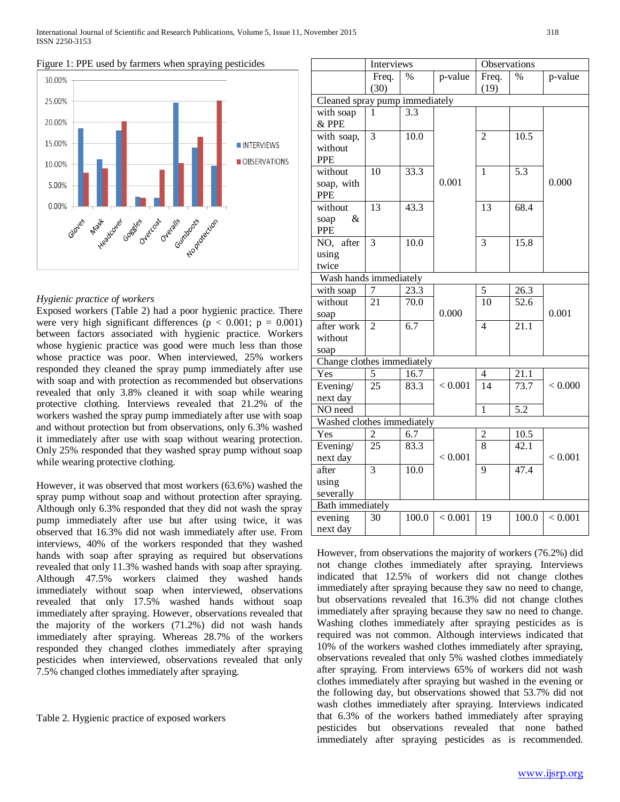



# *Hygienic practice of workers*

Exposed workers (Table 2) had a poor hygienic practice. There were very high significant differences ( $p < 0.001$ ;  $p = 0.001$ ) between factors associated with hygienic practice. Workers whose hygienic practice was good were much less than those whose practice was poor. When interviewed, 25% workers responded they cleaned the spray pump immediately after use with soap and with protection as recommended but observations revealed that only 3.8% cleaned it with soap while wearing protective clothing. Interviews revealed that 21.2% of the workers washed the spray pump immediately after use with soap and without protection but from observations, only 6.3% washed it immediately after use with soap without wearing protection. Only 25% responded that they washed spray pump without soap while wearing protective clothing.

However, it was observed that most workers (63.6%) washed the spray pump without soap and without protection after spraying. Although only 6.3% responded that they did not wash the spray pump immediately after use but after using twice, it was observed that 16.3% did not wash immediately after use. From interviews, 40% of the workers responded that they washed hands with soap after spraying as required but observations revealed that only 11.3% washed hands with soap after spraying. Although 47.5% workers claimed they washed hands immediately without soap when interviewed, observations revealed that only 17.5% washed hands without soap immediately after spraying. However, observations revealed that the majority of the workers (71.2%) did not wash hands immediately after spraying. Whereas 28.7% of the workers responded they changed clothes immediately after spraying pesticides when interviewed, observations revealed that only 7.5% changed clothes immediately after spraying.

Table 2. Hygienic practice of exposed workers

|                                | Interviews      |                   |         | Observations   |                   |         |  |  |
|--------------------------------|-----------------|-------------------|---------|----------------|-------------------|---------|--|--|
|                                | Freq.           | $\%$              | p-value | Freq.          | $\%$              | p-value |  |  |
|                                | (30)            |                   |         | (19)           |                   |         |  |  |
| Cleaned spray pump immediately |                 |                   |         |                |                   |         |  |  |
| with soap                      | 1               | $3.\overline{3}$  |         |                |                   |         |  |  |
| & PPE                          |                 |                   |         |                |                   |         |  |  |
| with soap,                     | 3               | 10.0              |         | $\overline{2}$ | 10.5              |         |  |  |
| without                        |                 |                   |         |                |                   |         |  |  |
| <b>PPE</b>                     |                 |                   |         |                |                   |         |  |  |
| without                        | 10              | 33.3              |         | 1              | 5.3               |         |  |  |
| soap, with                     |                 |                   | 0.001   |                |                   | 0.000   |  |  |
| <b>PPE</b>                     |                 |                   |         |                |                   |         |  |  |
| without                        | 13              | $\overline{43.3}$ |         | 13             | 68.4              |         |  |  |
| &<br>soap                      |                 |                   |         |                |                   |         |  |  |
| <b>PPE</b>                     |                 |                   |         |                |                   |         |  |  |
| NO, after                      | $\overline{3}$  | $\frac{10.0}{2}$  |         | $\overline{3}$ | 15.8              |         |  |  |
| using                          |                 |                   |         |                |                   |         |  |  |
| twice                          |                 |                   |         |                |                   |         |  |  |
| Wash hands immediately         |                 |                   |         |                |                   |         |  |  |
| with soap                      | 7               | 23.3              |         | 5              | 26.3              |         |  |  |
| without                        | 21              | 70.0              |         | 10             | 52.6              |         |  |  |
| soap                           |                 |                   | 0.000   |                |                   | 0.001   |  |  |
| after work                     | $\overline{2}$  | 6.7               |         | $\overline{4}$ | 21.1              |         |  |  |
| without                        |                 |                   |         |                |                   |         |  |  |
| soap                           |                 |                   |         |                |                   |         |  |  |
| Change clothes immediately     |                 |                   |         |                |                   |         |  |  |
| Yes                            | 5               | 16.7              |         | $\overline{4}$ | $\overline{21.1}$ |         |  |  |
| Evening/                       | $\overline{25}$ | 83.3              | < 0.001 | 14             | $\overline{73.7}$ | < 0.000 |  |  |
| next day                       |                 |                   |         |                |                   |         |  |  |
| NO need                        |                 |                   |         | $\mathbf{1}$   | 5.2               |         |  |  |
| Washed clothes immediately     |                 |                   |         |                |                   |         |  |  |
| Yes                            | $\overline{c}$  | 6.7               |         | $\overline{2}$ | 10.5              |         |  |  |
| Evening/                       | $\overline{25}$ | 83.3              |         | $\overline{8}$ | 42.1              |         |  |  |
| next day                       |                 |                   | < 0.001 |                |                   | < 0.001 |  |  |
| after                          | $\overline{3}$  | 10.0              |         | 9              | $47.\overline{4}$ |         |  |  |
| using                          |                 |                   |         |                |                   |         |  |  |
| severally                      |                 |                   |         |                |                   |         |  |  |
| Bath immediately               |                 |                   |         |                |                   |         |  |  |
| evening                        | 30              | 100.0             | < 0.001 | 19             | 100.0             | < 0.001 |  |  |
| next day                       |                 |                   |         |                |                   |         |  |  |

However, from observations the majority of workers (76.2%) did not change clothes immediately after spraying. Interviews indicated that 12.5% of workers did not change clothes immediately after spraying because they saw no need to change, but observations revealed that 16.3% did not change clothes immediately after spraying because they saw no need to change. Washing clothes immediately after spraying pesticides as is required was not common. Although interviews indicated that 10% of the workers washed clothes immediately after spraying, observations revealed that only 5% washed clothes immediately after spraying. From interviews 65% of workers did not wash clothes immediately after spraying but washed in the evening or the following day, but observations showed that 53.7% did not wash clothes immediately after spraying. Interviews indicated that 6.3% of the workers bathed immediately after spraying pesticides but observations revealed that none bathed immediately after spraying pesticides as is recommended.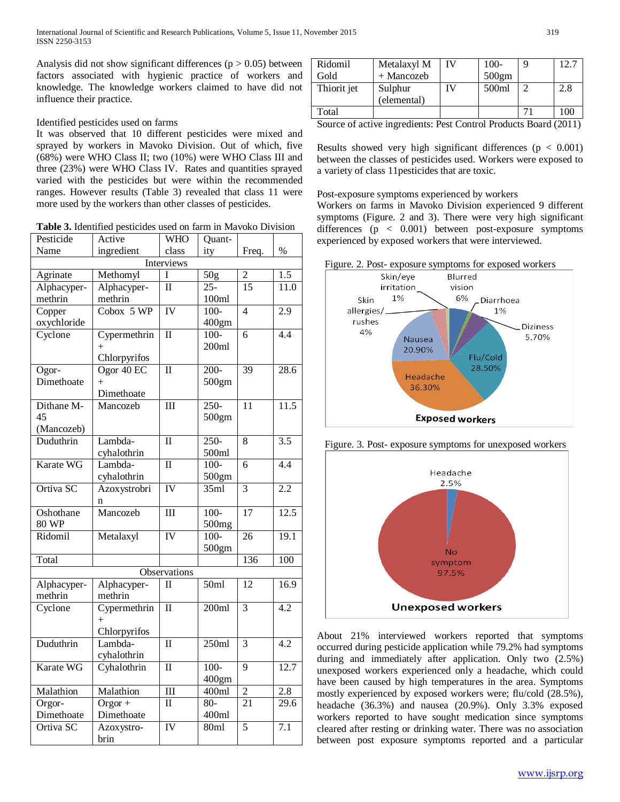Analysis did not show significant differences ( $p > 0.05$ ) between factors associated with hygienic practice of workers and knowledge. The knowledge workers claimed to have did not influence their practice.

# Identified pesticides used on farms

It was observed that 10 different pesticides were mixed and sprayed by workers in Mavoko Division. Out of which, five (68%) were WHO Class II; two (10%) were WHO Class III and three (23%) were WHO Class IV. Rates and quantities sprayed varied with the pesticides but were within the recommended ranges. However results (Table 3) revealed that class 11 were more used by the workers than other classes of pesticides.

**Table 3.** Identified pesticides used on farm in Mavoko Division

| Pesticide<br>Active |              | <b>WHO</b>              | Quant-            |                 |                   |  |  |  |
|---------------------|--------------|-------------------------|-------------------|-----------------|-------------------|--|--|--|
| Name                | ingredient   | class                   | ity               | Freq.           | %                 |  |  |  |
| <b>Interviews</b>   |              |                         |                   |                 |                   |  |  |  |
| Agrinate            | Methomyl     | I                       | 50 <sub>g</sub>   | $\overline{c}$  | 1.5               |  |  |  |
| Alphacyper-         | Alphacyper-  | $\overline{\rm II}$     | $25 -$            | $\overline{15}$ | 11.0              |  |  |  |
| methrin             | methrin      |                         | 100ml             |                 |                   |  |  |  |
| Copper              | Cobox 5 WP   | <b>IV</b>               | $\frac{100}{5}$   | $\overline{4}$  | $\overline{2.9}$  |  |  |  |
| oxychloride         |              |                         | 400gm             |                 |                   |  |  |  |
| Cyclone             | Cypermethrin | $\overline{\rm II}$     | $100 -$           | $\overline{6}$  | 4.4               |  |  |  |
|                     | $^{+}$       |                         | 200ml             |                 |                   |  |  |  |
|                     | Chlorpyrifos |                         |                   |                 |                   |  |  |  |
| Ogor-               | Ogor $40$ EC | $\overline{\rm II}$     | 200-              | 39              | 28.6              |  |  |  |
| Dimethoate          | $^{+}$       |                         | 500gm             |                 |                   |  |  |  |
|                     | Dimethoate   |                         |                   |                 |                   |  |  |  |
| Dithane M-          | Mancozeb     | $\overline{\text{III}}$ | $250 -$           | $\overline{11}$ | 11.5              |  |  |  |
| 45                  |              |                         | 500gm             |                 |                   |  |  |  |
| (Mancozeb)          |              |                         |                   |                 |                   |  |  |  |
| Duduthrin           | Lambda-      | $\overline{\mathbf{I}}$ | $\overline{250}$  | 8               | 3.5               |  |  |  |
|                     | cyhalothrin  |                         | 500ml             |                 |                   |  |  |  |
| Karate WG           | Lambda-      | $\overline{\rm II}$     | $100 -$           | 6               | 4.4               |  |  |  |
|                     | cyhalothrin  |                         | 500gm             |                 |                   |  |  |  |
| Ortiva SC           | Azoxystrobri | <b>IV</b>               | 35ml              | $\overline{3}$  | 2.2               |  |  |  |
|                     | n            |                         |                   |                 |                   |  |  |  |
| Oshothane           | Mancozeb     | $\overline{\text{III}}$ | $100 -$           | $\overline{17}$ | 12.5              |  |  |  |
| 80 WP               |              |                         | 500 <sub>mg</sub> |                 |                   |  |  |  |
| Ridomil             | Metalaxyl    | <b>IV</b>               | $\frac{100}{100}$ | $\overline{26}$ | 19.1              |  |  |  |
|                     |              |                         | 500gm             |                 |                   |  |  |  |
| Total               |              |                         |                   | 136             | 100               |  |  |  |
|                     |              | Observations            |                   |                 |                   |  |  |  |
| Alphacyper-         | Alphacyper-  | $\Pi$                   | 50ml              | 12              | 16.9              |  |  |  |
| methrin             | methrin      |                         |                   |                 |                   |  |  |  |
| Cyclone             | Cypermethrin | $\overline{\rm II}$     | 200ml             | $\overline{3}$  | 4.2               |  |  |  |
|                     | $^{+}$       |                         |                   |                 |                   |  |  |  |
|                     | Chlorpyrifos |                         |                   |                 |                   |  |  |  |
| Duduthrin           | Lambda-      | $\overline{\rm II}$     | 250ml             | 3               | $\overline{4.2}$  |  |  |  |
|                     | cyhalothrin  |                         |                   |                 |                   |  |  |  |
| Karate WG           | Cyhalothrin  | $\overline{\rm II}$     | $100 -$           | $\overline{9}$  | 12.7              |  |  |  |
|                     |              |                         | 400gm             |                 |                   |  |  |  |
| Malathion           | Malathion    | $\overline{\text{III}}$ | 400ml             | $\overline{2}$  | 2.8               |  |  |  |
| Orgor-              | $Orgor +$    | $\Pi$                   | $80-$             | $\overline{21}$ | $\overline{29.6}$ |  |  |  |
| Dimethoate          | Dimethoate   |                         | 400ml             |                 |                   |  |  |  |
| Ortiva SC           | Azoxystro-   | $\overline{IV}$         | 80ml              | 5               | $\overline{7}.1$  |  |  |  |
|                     | brin         |                         |                   |                 |                   |  |  |  |

| Ridomil     | Metalaxyl M            | IV | $100 -$ | 12.7 |
|-------------|------------------------|----|---------|------|
| Gold        | + Mancozeb             |    | 500gm   |      |
| Thiorit jet | Sulphur<br>(elemental) |    | 500ml   | 2.8  |
| Total       |                        |    |         | 100  |

Source of active ingredients: Pest Control Products Board (2011)

Results showed very high significant differences ( $p < 0.001$ ) between the classes of pesticides used. Workers were exposed to a variety of class 11pesticides that are toxic.

# Post-exposure symptoms experienced by workers

Workers on farms in Mavoko Division experienced 9 different symptoms (Figure. 2 and 3). There were very high significant differences (p < 0.001) between post-exposure symptoms experienced by exposed workers that were interviewed.



Figure. 3. Post- exposure symptoms for unexposed workers



About 21% interviewed workers reported that symptoms occurred during pesticide application while 79.2% had symptoms during and immediately after application. Only two (2.5%) unexposed workers experienced only a headache, which could have been caused by high temperatures in the area. Symptoms mostly experienced by exposed workers were; flu/cold (28.5%), headache (36.3%) and nausea (20.9%). Only 3.3% exposed workers reported to have sought medication since symptoms cleared after resting or drinking water. There was no association between post exposure symptoms reported and a particular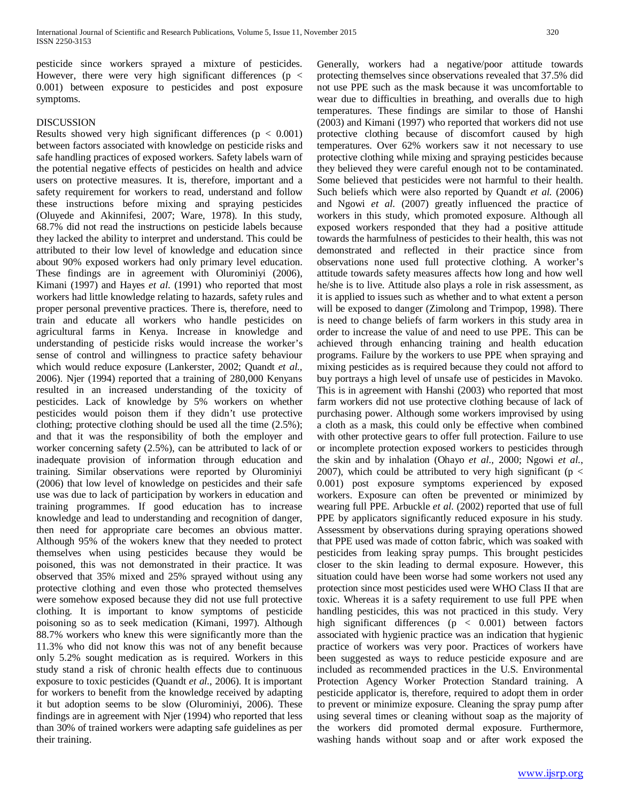pesticide since workers sprayed a mixture of pesticides. However, there were very high significant differences ( $p \lt$ 0.001) between exposure to pesticides and post exposure symptoms.

#### DISCUSSION

Results showed very high significant differences ( $p < 0.001$ ) between factors associated with knowledge on pesticide risks and safe handling practices of exposed workers. Safety labels warn of the potential negative effects of pesticides on health and advice users on protective measures. It is, therefore, important and a safety requirement for workers to read, understand and follow these instructions before mixing and spraying pesticides (Oluyede and Akinnifesi, 2007; Ware, 1978). In this study, 68.7% did not read the instructions on pesticide labels because they lacked the ability to interpret and understand. This could be attributed to their low level of knowledge and education since about 90% exposed workers had only primary level education. These findings are in agreement with Olurominiyi (2006), Kimani (1997) and Hayes *et al*. (1991) who reported that most workers had little knowledge relating to hazards, safety rules and proper personal preventive practices. There is, therefore, need to train and educate all workers who handle pesticides on agricultural farms in Kenya. Increase in knowledge and understanding of pesticide risks would increase the worker's sense of control and willingness to practice safety behaviour which would reduce exposure (Lankerster, 2002; Quandt *et al.,*  2006). Njer (1994) reported that a training of 280,000 Kenyans resulted in an increased understanding of the toxicity of pesticides. Lack of knowledge by 5% workers on whether pesticides would poison them if they didn't use protective clothing; protective clothing should be used all the time (2.5%); and that it was the responsibility of both the employer and worker concerning safety (2.5%), can be attributed to lack of or inadequate provision of information through education and training. Similar observations were reported by Olurominiyi (2006) that low level of knowledge on pesticides and their safe use was due to lack of participation by workers in education and training programmes. If good education has to increase knowledge and lead to understanding and recognition of danger, then need for appropriate care becomes an obvious matter. Although 95% of the wokers knew that they needed to protect themselves when using pesticides because they would be poisoned, this was not demonstrated in their practice. It was observed that 35% mixed and 25% sprayed without using any protective clothing and even those who protected themselves were somehow exposed because they did not use full protective clothing. It is important to know symptoms of pesticide poisoning so as to seek medication (Kimani, 1997). Although 88.7% workers who knew this were significantly more than the 11.3% who did not know this was not of any benefit because only 5.2% sought medication as is required. Workers in this study stand a risk of chronic health effects due to continuous exposure to toxic pesticides (Quandt *et al.*, 2006). It is important for workers to benefit from the knowledge received by adapting it but adoption seems to be slow (Olurominiyi, 2006). These findings are in agreement with Njer (1994) who reported that less than 30% of trained workers were adapting safe guidelines as per their training.

Generally, workers had a negative/poor attitude towards protecting themselves since observations revealed that 37.5% did not use PPE such as the mask because it was uncomfortable to wear due to difficulties in breathing, and overalls due to high temperatures. These findings are similar to those of Hanshi (2003) and Kimani (1997) who reported that workers did not use protective clothing because of discomfort caused by high temperatures. Over 62% workers saw it not necessary to use protective clothing while mixing and spraying pesticides because they believed they were careful enough not to be contaminated. Some believed that pesticides were not harmful to their health. Such beliefs which were also reported by Quandt *et al.* (2006) and Ngowi *et al.* (2007) greatly influenced the practice of workers in this study, which promoted exposure. Although all exposed workers responded that they had a positive attitude towards the harmfulness of pesticides to their health, this was not demonstrated and reflected in their practice since from observations none used full protective clothing. A worker's attitude towards safety measures affects how long and how well he/she is to live. Attitude also plays a role in risk assessment, as it is applied to issues such as whether and to what extent a person will be exposed to danger (Zimolong and Trimpop, 1998). There is need to change beliefs of farm workers in this study area in order to increase the value of and need to use PPE. This can be achieved through enhancing training and health education programs. Failure by the workers to use PPE when spraying and mixing pesticides as is required because they could not afford to buy portrays a high level of unsafe use of pesticides in Mavoko. This is in agreement with Hanshi (2003) who reported that most farm workers did not use protective clothing because of lack of purchasing power. Although some workers improvised by using a cloth as a mask, this could only be effective when combined with other protective gears to offer full protection. Failure to use or incomplete protection exposed workers to pesticides through the skin and by inhalation (Ohayo *et al.,* 2000; Ngowi *et al.*, 2007), which could be attributed to very high significant ( $p <$ 0.001) post exposure symptoms experienced by exposed workers. Exposure can often be prevented or minimized by wearing full PPE. Arbuckle *et al*. (2002) reported that use of full PPE by applicators significantly reduced exposure in his study. Assessment by observations during spraying operations showed that PPE used was made of cotton fabric, which was soaked with pesticides from leaking spray pumps. This brought pesticides closer to the skin leading to dermal exposure. However, this situation could have been worse had some workers not used any protection since most pesticides used were WHO Class II that are toxic. Whereas it is a safety requirement to use full PPE when handling pesticides, this was not practiced in this study. Very high significant differences (p < 0.001) between factors associated with hygienic practice was an indication that hygienic practice of workers was very poor. Practices of workers have been suggested as ways to reduce pesticide exposure and are included as recommended practices in the U.S. Environmental Protection Agency Worker Protection Standard training. A pesticide applicator is, therefore, required to adopt them in order to prevent or minimize exposure. Cleaning the spray pump after using several times or cleaning without soap as the majority of the workers did promoted dermal exposure. Furthermore, washing hands without soap and or after work exposed the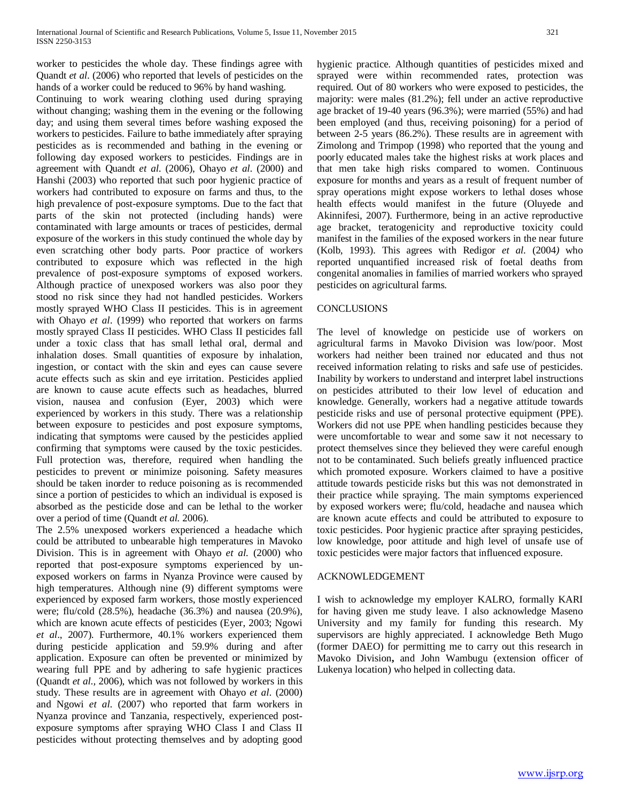worker to pesticides the whole day. These findings agree with Quandt *et al*. (2006) who reported that levels of pesticides on the hands of a worker could be reduced to 96% by hand washing.

Continuing to work wearing clothing used during spraying without changing; washing them in the evening or the following day; and using them several times before washing exposed the workers to pesticides. Failure to bathe immediately after spraying pesticides as is recommended and bathing in the evening or following day exposed workers to pesticides. Findings are in agreement with Quandt *et al*. (2006), Ohayo *et al*. (2000) and Hanshi (2003) who reported that such poor hygienic practice of workers had contributed to exposure on farms and thus, to the high prevalence of post-exposure symptoms. Due to the fact that parts of the skin not protected (including hands) were contaminated with large amounts or traces of pesticides, dermal exposure of the workers in this study continued the whole day by even scratching other body parts. Poor practice of workers contributed to exposure which was reflected in the high prevalence of post-exposure symptoms of exposed workers. Although practice of unexposed workers was also poor they stood no risk since they had not handled pesticides. Workers mostly sprayed WHO Class II pesticides. This is in agreement with Ohayo *et al*. (1999) who reported that workers on farms mostly sprayed Class II pesticides. WHO Class II pesticides fall under a toxic class that has small lethal oral, dermal and inhalation doses. Small quantities of exposure by inhalation, ingestion, or contact with the skin and eyes can cause severe acute effects such as skin and eye irritation. Pesticides applied are known to cause acute effects such as headaches, blurred vision, nausea and confusion (Eyer, 2003) which were experienced by workers in this study. There was a relationship between exposure to pesticides and post exposure symptoms, indicating that symptoms were caused by the pesticides applied confirming that symptoms were caused by the toxic pesticides. Full protection was, therefore, required when handling the pesticides to prevent or minimize poisoning. Safety measures should be taken inorder to reduce poisoning as is recommended since a portion of pesticides to which an individual is exposed is absorbed as the pesticide dose and can be lethal to the worker over a period of time (Quandt *et al.* 2006).

The 2.5% unexposed workers experienced a headache which could be attributed to unbearable high temperatures in Mavoko Division. This is in agreement with Ohayo *et al.* (2000) who reported that post-exposure symptoms experienced by unexposed workers on farms in Nyanza Province were caused by high temperatures. Although nine (9) different symptoms were experienced by exposed farm workers, those mostly experienced were; flu/cold (28.5%), headache (36.3%) and nausea (20.9%), which are known acute effects of pesticides (Eyer, 2003; Ngowi *et al*., 2007). Furthermore, 40.1% workers experienced them during pesticide application and 59.9% during and after application. Exposure can often be prevented or minimized by wearing full PPE and by adhering to safe hygienic practices (Quandt *et al*.*,* 2006), which was not followed by workers in this study. These results are in agreement with Ohayo *et al*. (2000) and Ngowi *et al*. (2007) who reported that farm workers in Nyanza province and Tanzania, respectively, experienced postexposure symptoms after spraying WHO Class I and Class II pesticides without protecting themselves and by adopting good hygienic practice. Although quantities of pesticides mixed and sprayed were within recommended rates, protection was required. Out of 80 workers who were exposed to pesticides, the majority: were males (81.2%); fell under an active reproductive age bracket of 19-40 years (96.3%); were married (55%) and had been employed (and thus, receiving poisoning) for a period of between 2-5 years (86.2%). These results are in agreement with Zimolong and Trimpop (1998) who reported that the young and poorly educated males take the highest risks at work places and that men take high risks compared to women. Continuous exposure for months and years as a result of frequent number of spray operations might expose workers to lethal doses whose health effects would manifest in the future (Oluyede and Akinnifesi, 2007). Furthermore, being in an active reproductive age bracket, teratogenicity and reproductive toxicity could manifest in the families of the exposed workers in the near future (Kolb, 1993). This agrees with Redigor *et al.* (2004*)* who reported unquantified increased risk of foetal deaths from congenital anomalies in families of married workers who sprayed pesticides on agricultural farms.

# **CONCLUSIONS**

The level of knowledge on pesticide use of workers on agricultural farms in Mavoko Division was low/poor. Most workers had neither been trained nor educated and thus not received information relating to risks and safe use of pesticides. Inability by workers to understand and interpret label instructions on pesticides attributed to their low level of education and knowledge. Generally, workers had a negative attitude towards pesticide risks and use of personal protective equipment (PPE). Workers did not use PPE when handling pesticides because they were uncomfortable to wear and some saw it not necessary to protect themselves since they believed they were careful enough not to be contaminated. Such beliefs greatly influenced practice which promoted exposure. Workers claimed to have a positive attitude towards pesticide risks but this was not demonstrated in their practice while spraying. The main symptoms experienced by exposed workers were; flu/cold, headache and nausea which are known acute effects and could be attributed to exposure to toxic pesticides. Poor hygienic practice after spraying pesticides, low knowledge, poor attitude and high level of unsafe use of toxic pesticides were major factors that influenced exposure.

#### ACKNOWLEDGEMENT

I wish to acknowledge my employer KALRO, formally KARI for having given me study leave. I also acknowledge Maseno University and my family for funding this research. My supervisors are highly appreciated. I acknowledge Beth Mugo (former DAEO) for permitting me to carry out this research in Mavoko Division**,** and John Wambugu (extension officer of Lukenya location) who helped in collecting data.